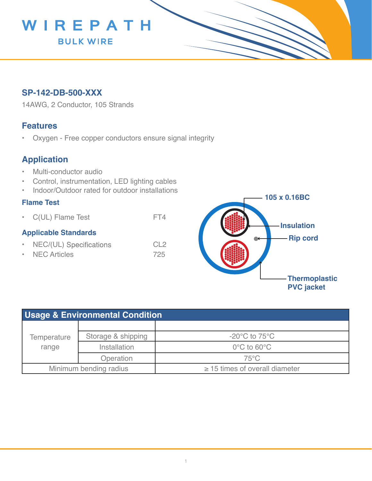

## **SP-142-DB-500-XXX**

14AWG, 2 Conductor, 105 Strands

### **Features**

• Oxygen - Free copper conductors ensure signal integrity

# **Application**

- Multi-conductor audio
- Control, instrumentation, LED lighting cables
- Indoor/Outdoor rated for outdoor installations

### **Flame Test**

• C(UL) Flame Test FT4

### **Applicable Standards**

- NEC/(UL) Specifications CL2
- NEC Articles 725



| <b>Usage &amp; Environmental Condition</b> |                    |                                     |  |  |
|--------------------------------------------|--------------------|-------------------------------------|--|--|
| Temperature<br>range                       |                    |                                     |  |  |
|                                            | Storage & shipping | $-20^{\circ}$ C to 75 $^{\circ}$ C  |  |  |
|                                            | Installation       | $0^{\circ}$ C to 60 $^{\circ}$ C    |  |  |
|                                            | Operation          | $75^{\circ}$ C                      |  |  |
| Minimum bending radius                     |                    | $\geq$ 15 times of overall diameter |  |  |